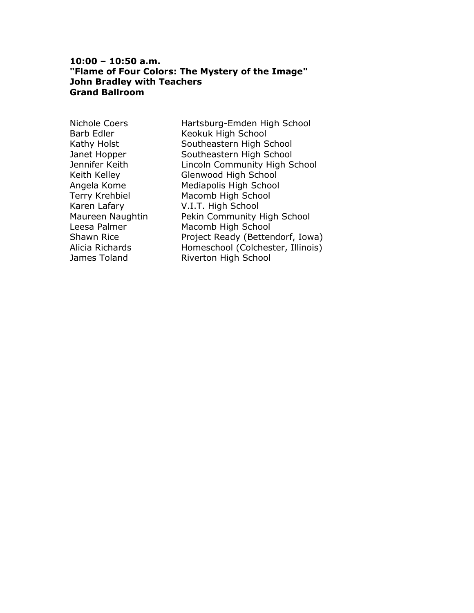#### **10:00 – 10:50 a.m. "Flame of Four Colors: The Mystery of the Image" John Bradley with Teachers Grand Ballroom**

Nichole Coers Hartsburg-Emden High School Barb Edler Keokuk High School Kathy Holst Southeastern High School Janet Hopper Southeastern High School Jennifer Keith Lincoln Community High School Keith Kelley Glenwood High School Angela Kome Mediapolis High School Terry Krehbiel Macomb High School Karen Lafary V.I.T. High School Maureen Naughtin Pekin Community High School Leesa Palmer Macomb High School Shawn Rice **Project Ready (Bettendorf, Iowa)** Alicia Richards Homeschool (Colchester, Illinois) James Toland **Riverton High School**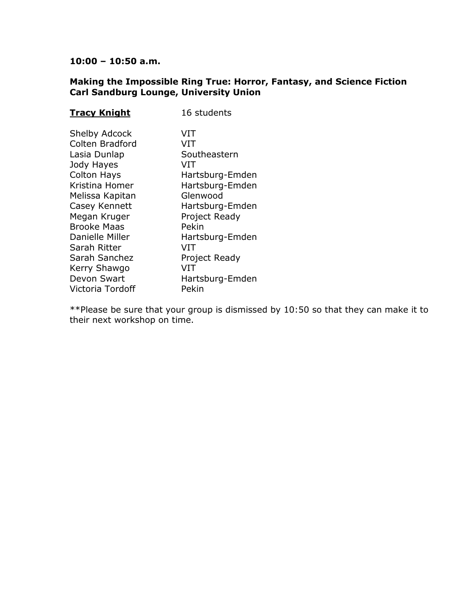# **Making the Impossible Ring True: Horror, Fantasy, and Science Fiction Carl Sandburg Lounge, University Union**

| <b>Tracy Knight</b>                                                                                                                                                                                                                                                        | 16 students                                                                                                                                                                                           |
|----------------------------------------------------------------------------------------------------------------------------------------------------------------------------------------------------------------------------------------------------------------------------|-------------------------------------------------------------------------------------------------------------------------------------------------------------------------------------------------------|
| <b>Shelby Adcock</b><br>Colten Bradford<br>Lasia Dunlap<br>Jody Hayes<br><b>Colton Hays</b><br>Kristina Homer<br>Melissa Kapitan<br>Casey Kennett<br>Megan Kruger<br><b>Brooke Maas</b><br>Danielle Miller<br>Sarah Ritter<br>Sarah Sanchez<br>Kerry Shawgo<br>Devon Swart | VIT<br>VIT<br>Southeastern<br>VIT<br>Hartsburg-Emden<br>Hartsburg-Emden<br>Glenwood<br>Hartsburg-Emden<br>Project Ready<br>Pekin<br>Hartsburg-Emden<br>VIT<br>Project Ready<br>VIT<br>Hartsburg-Emden |
| Victoria Tordoff                                                                                                                                                                                                                                                           | Pekin                                                                                                                                                                                                 |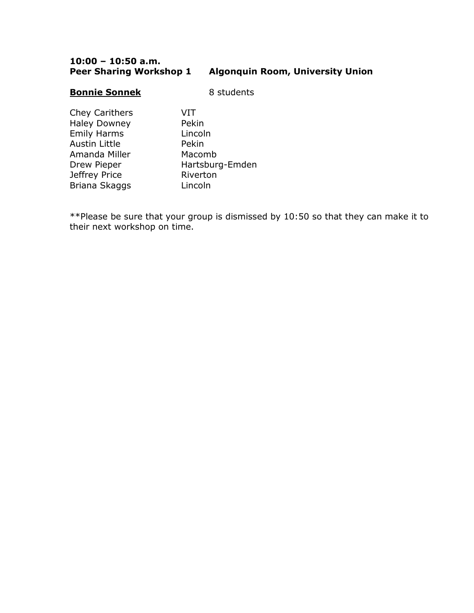### **10:00 – 10:50 a.m. Peer Sharing Workshop 1 Algonquin Room, University Union**

#### **Bonnie Sonnek** 8 students

Chey Carithers VIT Haley Downey Pekin Emily Harms Lincoln Austin Little **Pekin** Amanda Miller Macomb Jeffrey Price Riverton Briana Skaggs Lincoln

Drew Pieper Hartsburg-Emden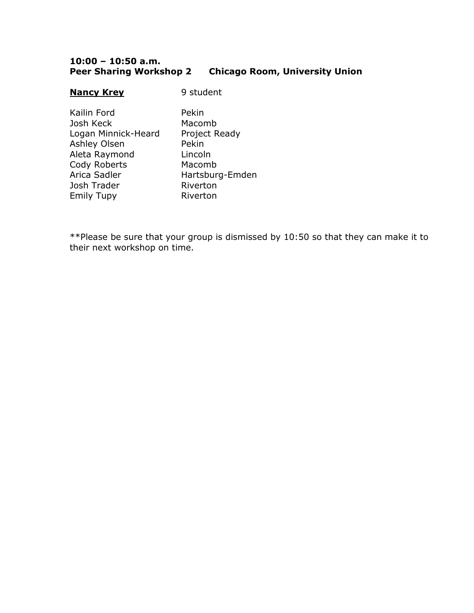### **10:00 – 10:50 a.m. Peer Sharing Workshop 2 Chicago Room, University Union**

#### **Nancy Krey** 9 student

Kailin Ford Pekin Josh Keck Macomb Logan Minnick-Heard Project Ready Ashley Olsen Pekin Aleta Raymond Lincoln Cody Roberts Macomb Arica Sadler Hartsburg-Emden Josh Trader Riverton Emily Tupy **Riverton**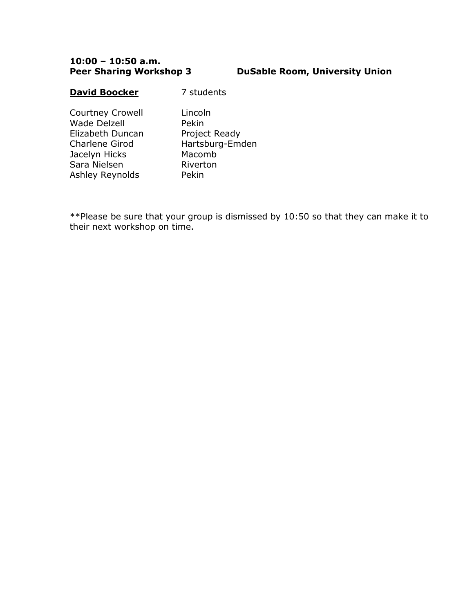## **PuSable Room, University Union**

#### **David Boocker** 7 students

Courtney Crowell Lincoln Wade Delzell Pekin Elizabeth Duncan Project Ready Charlene Girod Hartsburg-Emden Jacelyn Hicks Macomb Sara Nielsen Riverton Ashley Reynolds Pekin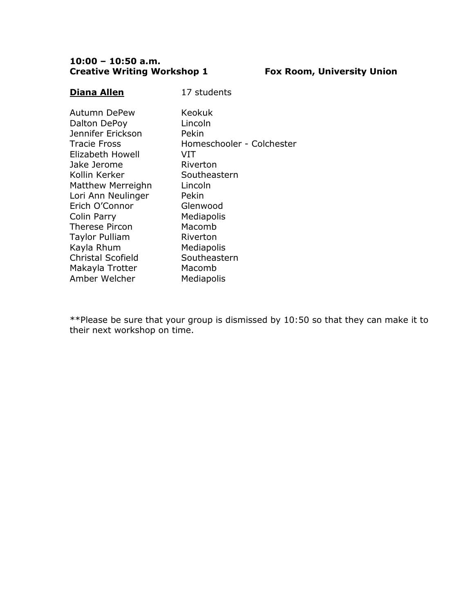# **10:00 – 10:50 a.m. Creative Writing Workshop 1 Fox Room, University Union**

17 students

| Autumn DePew             | Keokuk                    |
|--------------------------|---------------------------|
| Dalton DePoy             | Lincoln                   |
| Jennifer Erickson        | Pekin                     |
| Tracie Fross             | Homeschooler - Colchester |
| Elizabeth Howell         | VIT                       |
| Jake Jerome              | Riverton                  |
| Kollin Kerker            | Southeastern              |
| Matthew Merreighn        | Lincoln                   |
| Lori Ann Neulinger       | Pekin                     |
| Erich O'Connor           | Glenwood                  |
| Colin Parry              | Mediapolis                |
| Therese Pircon           | Macomb                    |
| Taylor Pulliam           | Riverton                  |
| Kayla Rhum               | Mediapolis                |
| <b>Christal Scofield</b> | Southeastern              |
| Makayla Trotter          | Macomb                    |
| Amber Welcher            | Mediapolis                |
|                          |                           |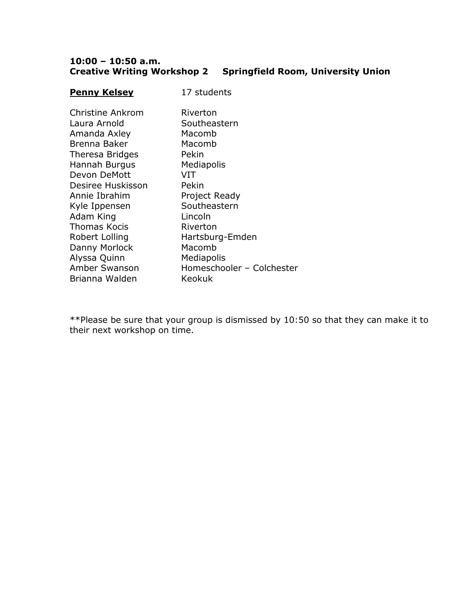# **10:00 – 10:50 a.m. Creative Writing Workshop 2 Springfield Room, University Union**

| <b>Penny Kelsey</b> | 17 students               |
|---------------------|---------------------------|
| Christine Ankrom    | Riverton                  |
| Laura Arnold        | Southeastern              |
| Amanda Axley        | Macomb                    |
| Brenna Baker        | Macomb                    |
| Theresa Bridges     | Pekin                     |
| Hannah Burgus       | Mediapolis                |
| Devon DeMott        | VIT                       |
| Desiree Huskisson   | Pekin                     |
| Annie Ibrahim       | Project Ready             |
| Kyle Ippensen       | Southeastern              |
| Adam King           | Lincoln                   |
| <b>Thomas Kocis</b> | Riverton                  |
| Robert Lolling      | Hartsburg-Emden           |
| Danny Morlock       | Macomb                    |
| Alyssa Quinn        | Mediapolis                |
| Amber Swanson       | Homeschooler - Colchester |
| Brianna Walden      | Keokuk                    |
|                     |                           |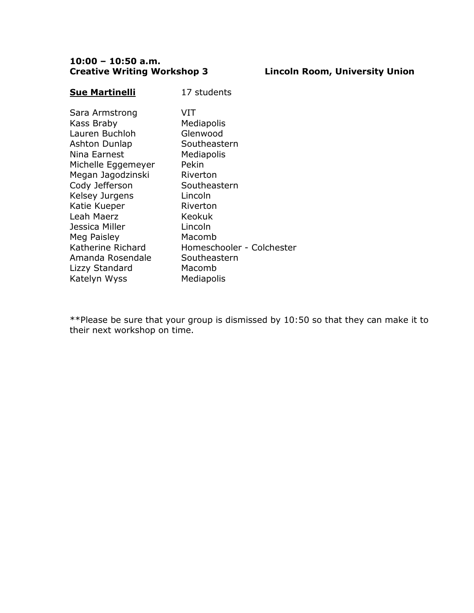# **Creative Writing Workshop 3 Lincoln Room, University Union**

17 students

| Sara Armstrong     | VIT                       |
|--------------------|---------------------------|
| Kass Braby         | Mediapolis                |
| Lauren Buchloh     | Glenwood                  |
| Ashton Dunlap      | Southeastern              |
| Nina Earnest       | Mediapolis                |
| Michelle Eggemeyer | Pekin                     |
| Megan Jagodzinski  | Riverton                  |
| Cody Jefferson     | Southeastern              |
| Kelsey Jurgens     | Lincoln                   |
| Katie Kueper       | Riverton                  |
| Leah Maerz         | Keokuk                    |
| Jessica Miller     | Lincoln                   |
| Meg Paisley        | Macomb                    |
| Katherine Richard  | Homeschooler - Colchester |
| Amanda Rosendale   | Southeastern              |
| Lizzy Standard     | Macomb                    |
| Katelyn Wyss       | Mediapolis                |
|                    |                           |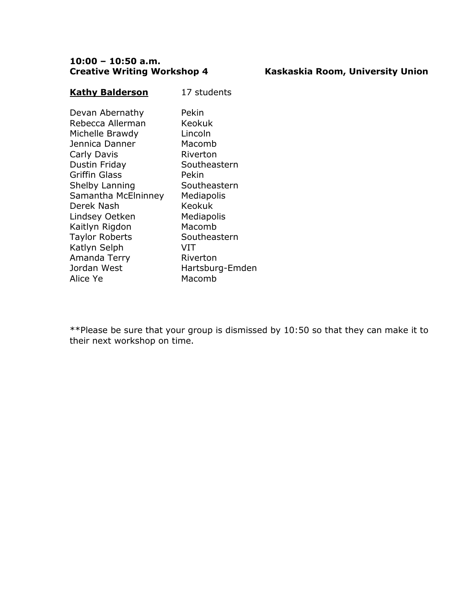# **Creative Writing Workshop 4 Kaskaskia Room, University Union**

# **Kathy Balderson** 17 students

| Devan Abernathy       | Pekin           |
|-----------------------|-----------------|
| Rebecca Allerman      | Keokuk          |
| Michelle Brawdy       | Lincoln         |
| Jennica Danner        | Macomb          |
| Carly Davis           | Riverton        |
| Dustin Friday         | Southeastern    |
| <b>Griffin Glass</b>  | Pekin           |
| Shelby Lanning        | Southeastern    |
| Samantha McElninney   | Mediapolis      |
| Derek Nash            | Keokuk          |
| Lindsey Oetken        | Mediapolis      |
| Kaitlyn Rigdon        | Macomb          |
| <b>Taylor Roberts</b> | Southeastern    |
| Katlyn Selph          | VIT             |
| Amanda Terry          | Riverton        |
| Jordan West           | Hartsburg-Emden |
| Alice Ye              | Macomb          |
|                       |                 |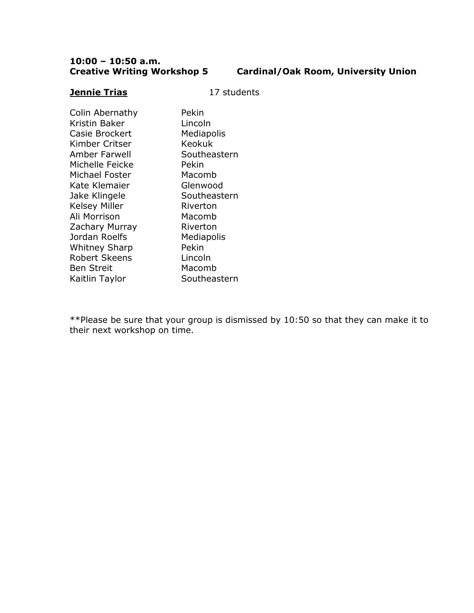# **Cardinal/Oak Room, University Union**

# **Jennie Trias** 17 students

| Colin Abernathy<br>Kristin Baker<br>Casie Brockert<br>Kimber Critser<br>Amber Farwell<br>Michelle Feicke | Pekin<br>Lincoln<br>Mediapolis<br><b>Keokuk</b><br>Southeastern<br>Pekin |
|----------------------------------------------------------------------------------------------------------|--------------------------------------------------------------------------|
| Michael Foster                                                                                           | Macomb                                                                   |
| Kate Klemaier                                                                                            | Glenwood                                                                 |
| Jake Klingele                                                                                            | Southeastern                                                             |
| <b>Kelsey Miller</b>                                                                                     | Riverton                                                                 |
| Ali Morrison                                                                                             | Macomb                                                                   |
| Zachary Murray                                                                                           | Riverton                                                                 |
| Jordan Roelfs                                                                                            | Mediapolis                                                               |
| <b>Whitney Sharp</b>                                                                                     | Pekin                                                                    |
| <b>Robert Skeens</b>                                                                                     | Lincoln                                                                  |
| Ben Streit                                                                                               | Macomb                                                                   |
| Kaitlin Taylor                                                                                           | Southeastern                                                             |
|                                                                                                          |                                                                          |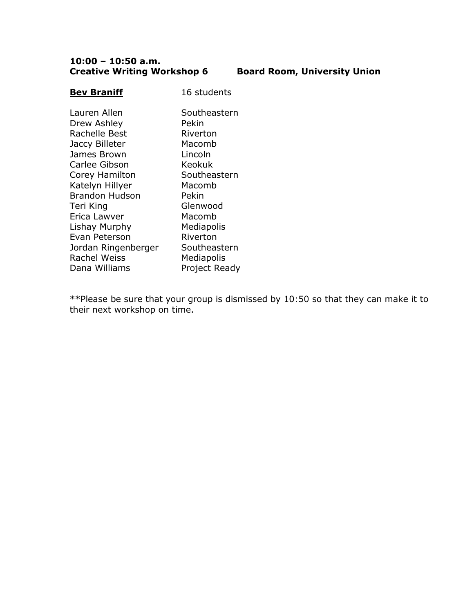# **10:00 – 10:50 a.m. Creative Writing Workshop 6 Board Room, University Union**

# **Bev Braniff** 16 students

| Southeastern  |
|---------------|
|               |
| Pekin         |
| Riverton      |
| Macomb        |
| Lincoln       |
| Keokuk        |
| Southeastern  |
| Macomb        |
| Pekin         |
| Glenwood      |
| Macomb        |
| Mediapolis    |
| Riverton      |
| Southeastern  |
| Mediapolis    |
| Project Ready |
|               |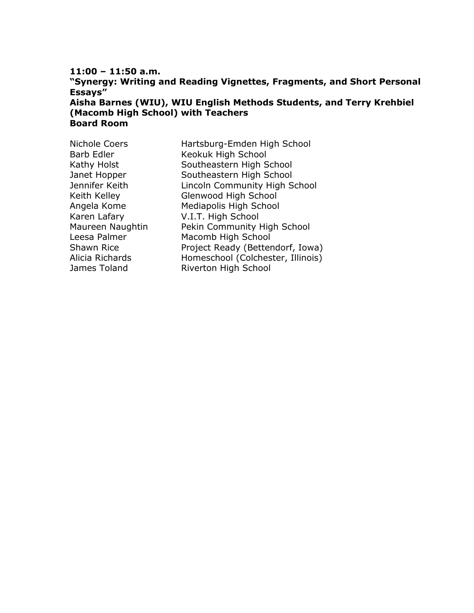# **"Synergy: Writing and Reading Vignettes, Fragments, and Short Personal Essays" Aisha Barnes (WIU), WIU English Methods Students, and Terry Krehbiel**

**(Macomb High School) with Teachers Board Room**

| <b>Nichole Coers</b> | Hartsburg-Emden High School       |
|----------------------|-----------------------------------|
| <b>Barb Edler</b>    | Keokuk High School                |
| Kathy Holst          | Southeastern High School          |
| Janet Hopper         | Southeastern High School          |
| Jennifer Keith       | Lincoln Community High School     |
| Keith Kelley         | Glenwood High School              |
| Angela Kome          | Mediapolis High School            |
| Karen Lafary         | V.I.T. High School                |
| Maureen Naughtin     | Pekin Community High School       |
| Leesa Palmer         | Macomb High School                |
| Shawn Rice           | Project Ready (Bettendorf, Iowa)  |
| Alicia Richards      | Homeschool (Colchester, Illinois) |
| James Toland         | Riverton High School              |
|                      |                                   |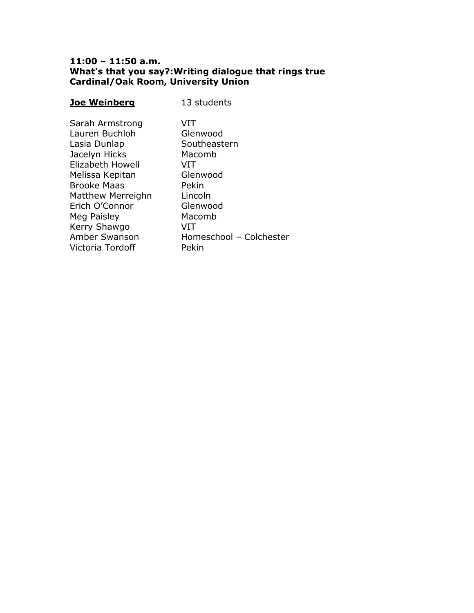### **11:00 – 11:50 a.m. What's that you say?:Writing dialogue that rings true Cardinal/Oak Room, University Union**

| <b>Joe Weinberg</b> | 13 students             |
|---------------------|-------------------------|
| Sarah Armstrong     | VIT                     |
| Lauren Buchloh      | Glenwood                |
| Lasia Dunlap        | Southeastern            |
| Jacelyn Hicks       | Macomb                  |
| Elizabeth Howell    | VIT                     |
| Melissa Kepitan     | Glenwood                |
| <b>Brooke Maas</b>  | Pekin                   |
| Matthew Merreighn   | Lincoln                 |
| Erich O'Connor      | Glenwood                |
| Meg Paisley         | Macomb                  |
| Kerry Shawgo        | VIT                     |
| Amber Swanson       | Homeschool - Colchester |
| Victoria Tordoff    | Pekin                   |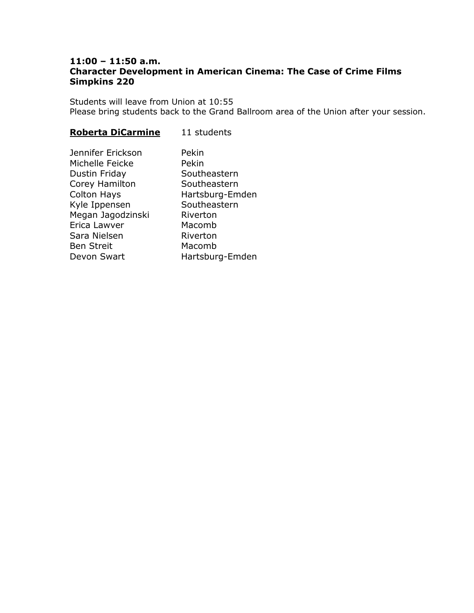### **11:00 – 11:50 a.m. Character Development in American Cinema: The Case of Crime Films Simpkins 220**

Students will leave from Union at 10:55 Please bring students back to the Grand Ballroom area of the Union after your session.

# **Roberta DiCarmine** 11 students

| Jennifer Erickson  | Pekin           |
|--------------------|-----------------|
| Michelle Feicke    | Pekin           |
| Dustin Friday      | Southeastern    |
| Corey Hamilton     | Southeastern    |
| <b>Colton Hays</b> | Hartsburg-Emden |
| Kyle Ippensen      | Southeastern    |
| Megan Jagodzinski  | Riverton        |
| Erica Lawver       | Macomb          |
| Sara Nielsen       | Riverton        |
| <b>Ben Streit</b>  | Macomb          |
| Devon Swart        | Hartsburg-Emden |
|                    |                 |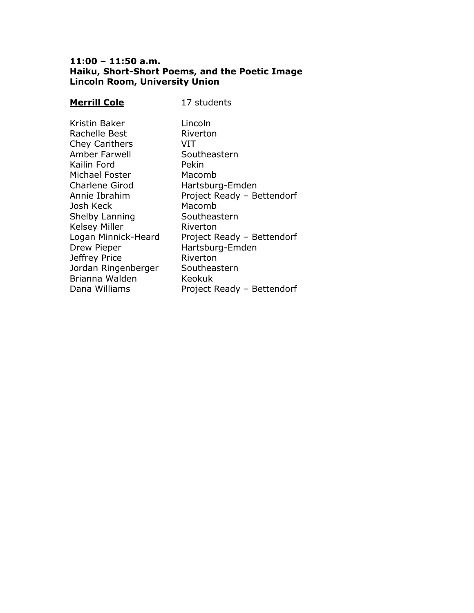### **11:00 – 11:50 a.m. Haiku, Short-Short Poems, and the Poetic Image Lincoln Room, University Union**

# **Merrill Cole** 17 students

| Lincoln                    |
|----------------------------|
| Riverton                   |
| VIT                        |
| Southeastern               |
| Pekin                      |
| Macomb                     |
| Hartsburg-Emden            |
| Project Ready - Bettendorf |
| Macomb                     |
| Southeastern               |
| Riverton                   |
| Project Ready - Bettendorf |
| Hartsburg-Emden            |
| Riverton                   |
| Southeastern               |
| Keokuk                     |
| Project Ready - Bettendorf |
|                            |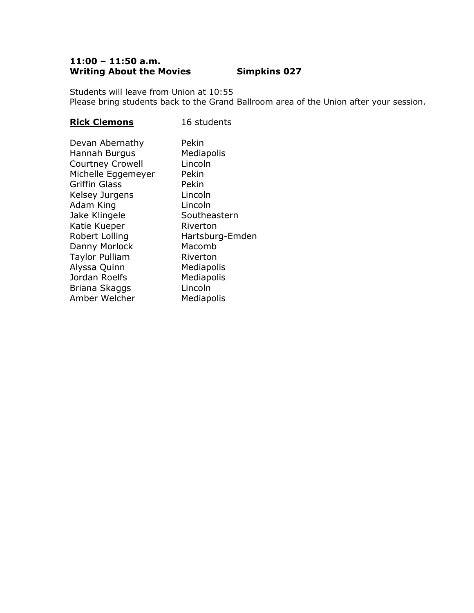# **11:00 – 11:50 a.m. Writing About the Movies Simpkins 027**

Students will leave from Union at 10:55 Please bring students back to the Grand Ballroom area of the Union after your session.

# **Rick Clemons** 16 students

| Devan Abernathy         | Pekin           |
|-------------------------|-----------------|
| Hannah Burgus           | Mediapolis      |
| <b>Courtney Crowell</b> | Lincoln         |
| Michelle Eggemeyer      | Pekin           |
| <b>Griffin Glass</b>    | Pekin           |
| Kelsey Jurgens          | Lincoln         |
| Adam King               | Lincoln         |
| Jake Klingele           | Southeastern    |
| Katie Kueper            | Riverton        |
| Robert Lolling          | Hartsburg-Emden |
| Danny Morlock           | Macomb          |
| <b>Taylor Pulliam</b>   | Riverton        |
| Alyssa Quinn            | Mediapolis      |
| Jordan Roelfs           | Mediapolis      |
| Briana Skaggs           | Lincoln         |
| Amber Welcher           | Mediapolis      |
|                         |                 |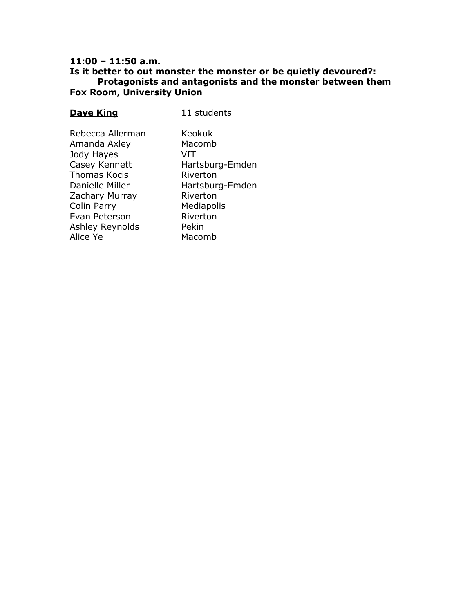### **Is it better to out monster the monster or be quietly devoured?: Protagonists and antagonists and the monster between them Fox Room, University Union**

# **Dave King** 11 students

| Rebecca Allerman | Keokuk          |
|------------------|-----------------|
| Amanda Axley     | Macomb          |
| Jody Hayes       | VIT             |
| Casey Kennett    | Hartsburg-Emden |
| Thomas Kocis     | Riverton        |
| Danielle Miller  | Hartsburg-Emden |
| Zachary Murray   | Riverton        |
| Colin Parry      | Mediapolis      |
| Evan Peterson    | Riverton        |
| Ashley Reynolds  | Pekin           |
| Alice Ye         | Macomb          |
|                  |                 |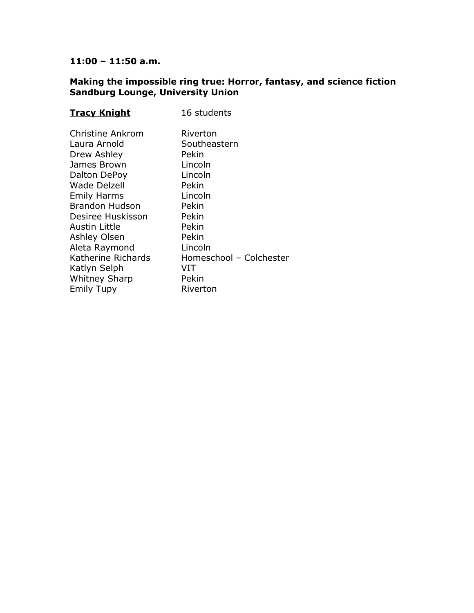#### **Making the impossible ring true: Horror, fantasy, and science fiction Sandburg Lounge, University Union**

| <b>Tracy Knight</b>                                                                                                                                                                                                                                                                                            | 16 students                                                                                                                                                                       |
|----------------------------------------------------------------------------------------------------------------------------------------------------------------------------------------------------------------------------------------------------------------------------------------------------------------|-----------------------------------------------------------------------------------------------------------------------------------------------------------------------------------|
| Christine Ankrom<br>Laura Arnold<br>Drew Ashley<br>James Brown<br>Dalton DePoy<br><b>Wade Delzell</b><br><b>Emily Harms</b><br><b>Brandon Hudson</b><br>Desiree Huskisson<br>Austin Little<br>Ashley Olsen<br>Aleta Raymond<br>Katherine Richards<br>Katlyn Selph<br><b>Whitney Sharp</b><br><b>Emily Tupy</b> | Riverton<br>Southeastern<br>Pekin<br>Lincoln<br>Lincoln<br>Pekin<br>Lincoln<br>Pekin<br>Pekin<br>Pekin<br>Pekin<br>Lincoln<br>Homeschool - Colchester<br>VIT<br>Pekin<br>Riverton |
|                                                                                                                                                                                                                                                                                                                |                                                                                                                                                                                   |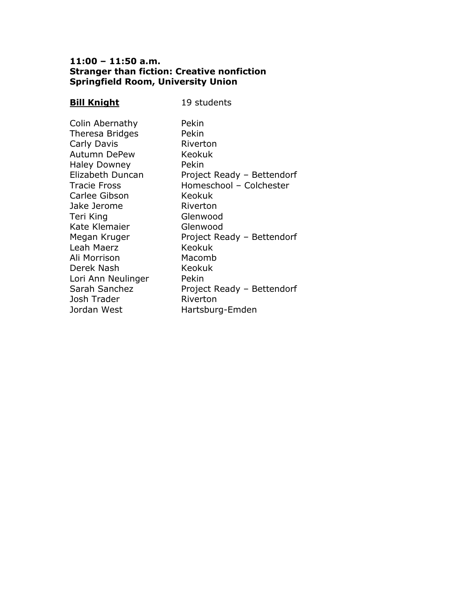# **11:00 – 11:50 a.m. Stranger than fiction: Creative nonfiction Springfield Room, University Union**

| <b>Bill Knight</b>                                                                                                                                                                                                                                                                                                                        | 19 students                                                                                                                                                                                                                                                                            |
|-------------------------------------------------------------------------------------------------------------------------------------------------------------------------------------------------------------------------------------------------------------------------------------------------------------------------------------------|----------------------------------------------------------------------------------------------------------------------------------------------------------------------------------------------------------------------------------------------------------------------------------------|
| Colin Abernathy<br>Theresa Bridges<br>Carly Davis<br><b>Autumn DePew</b><br><b>Haley Downey</b><br>Elizabeth Duncan<br><b>Tracie Fross</b><br>Carlee Gibson<br>Jake Jerome<br>Teri King<br>Kate Klemaier<br>Megan Kruger<br>Leah Maerz<br>Ali Morrison<br>Derek Nash<br>Lori Ann Neulinger<br>Sarah Sanchez<br>Josh Trader<br>Jordan West | Pekin<br>Pekin<br>Riverton<br>Keokuk<br>Pekin<br>Project Ready - Bettendorf<br>Homeschool - Colchester<br>Keokuk<br>Riverton<br>Glenwood<br>Glenwood<br>Project Ready - Bettendorf<br>Keokuk<br>Macomb<br>Keokuk<br>Pekin<br>Project Ready - Bettendorf<br>Riverton<br>Hartsburg-Emden |
|                                                                                                                                                                                                                                                                                                                                           |                                                                                                                                                                                                                                                                                        |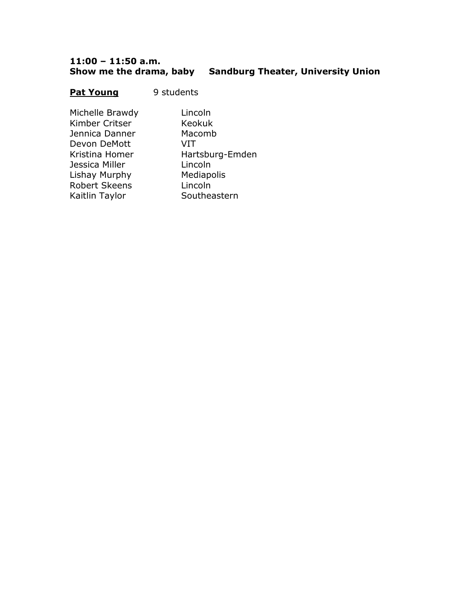#### **11:00 – 11:50 a.m. Show me the drama, baby Sandburg Theater, University Union**

#### **Pat Young** 9 students

Michelle Brawdy Lincoln Kimber Critser Keokuk Jennica Danner Macomb Devon DeMott VIT Jessica Miller **Lincoln** Lishay Murphy Mediapolis Robert Skeens Lincoln Kaitlin Taylor Southeastern

Kristina Homer Hartsburg-Emden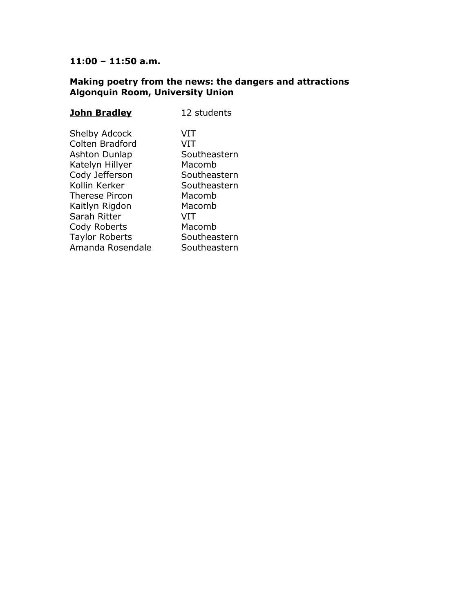#### **Making poetry from the news: the dangers and attractions Algonquin Room, University Union**

| <u>John Bradley</u>                                                                                                                                                                                                      | 12 students                                                                                                                               |
|--------------------------------------------------------------------------------------------------------------------------------------------------------------------------------------------------------------------------|-------------------------------------------------------------------------------------------------------------------------------------------|
| <b>Shelby Adcock</b><br>Colten Bradford<br>Ashton Dunlap<br>Katelyn Hillyer<br>Cody Jefferson<br>Kollin Kerker<br>Therese Pircon<br>Kaitlyn Rigdon<br>Sarah Ritter<br>Cody Roberts<br>Taylor Roberts<br>Amanda Rosendale | VIT<br>VIT<br>Southeastern<br>Macomb<br>Southeastern<br>Southeastern<br>Macomb<br>Macomb<br>VIT<br>Macomb<br>Southeastern<br>Southeastern |
|                                                                                                                                                                                                                          |                                                                                                                                           |